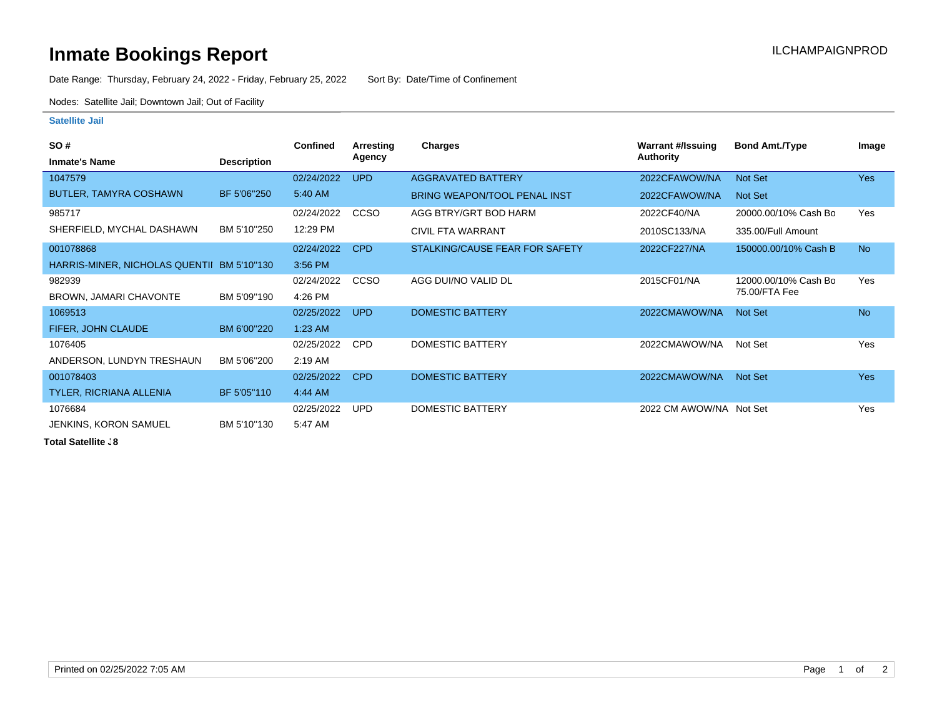## **Inmate Bookings Report Installation ILCHAMPAIGNPROD**

Date Range: Thursday, February 24, 2022 - Friday, February 25, 2022 Sort By: Date/Time of Confinement

Nodes: Satellite Jail; Downtown Jail; Out of Facility

## **Satellite Jail**

| <b>SO#</b>                                 |                    | <b>Confined</b> | Arresting   | <b>Charges</b>                      | Warrant #/Issuing       | <b>Bond Amt./Type</b> | Image      |
|--------------------------------------------|--------------------|-----------------|-------------|-------------------------------------|-------------------------|-----------------------|------------|
| <b>Inmate's Name</b>                       | <b>Description</b> |                 | Agency      |                                     | Authority               |                       |            |
| 1047579                                    |                    | 02/24/2022      | <b>UPD</b>  | <b>AGGRAVATED BATTERY</b>           | 2022CFAWOW/NA           | Not Set               | <b>Yes</b> |
| BUTLER, TAMYRA COSHAWN                     | BF 5'06"250        | 5:40 AM         |             | <b>BRING WEAPON/TOOL PENAL INST</b> | 2022CFAWOW/NA           | Not Set               |            |
| 985717                                     |                    | 02/24/2022      | CCSO        | AGG BTRY/GRT BOD HARM               | 2022CF40/NA             | 20000.00/10% Cash Bo  | Yes        |
| SHERFIELD, MYCHAL DASHAWN                  | BM 5'10"250        | 12:29 PM        |             | <b>CIVIL FTA WARRANT</b>            | 2010SC133/NA            | 335.00/Full Amount    |            |
| 001078868                                  |                    | 02/24/2022      | <b>CPD</b>  | STALKING/CAUSE FEAR FOR SAFETY      | 2022CF227/NA            | 150000.00/10% Cash B  | <b>No</b>  |
| HARRIS-MINER, NICHOLAS QUENTII BM 5'10"130 |                    | 3:56 PM         |             |                                     |                         |                       |            |
| 982939                                     |                    | 02/24/2022      | <b>CCSO</b> | AGG DUI/NO VALID DL                 | 2015CF01/NA             | 12000.00/10% Cash Bo  | Yes        |
| BROWN, JAMARI CHAVONTE                     | BM 5'09"190        | 4:26 PM         |             |                                     |                         | 75.00/FTA Fee         |            |
| 1069513                                    |                    | 02/25/2022      | <b>UPD</b>  | <b>DOMESTIC BATTERY</b>             | 2022CMAWOW/NA           | Not Set               | <b>No</b>  |
| FIFER, JOHN CLAUDE                         | BM 6'00"220        | $1:23$ AM       |             |                                     |                         |                       |            |
| 1076405                                    |                    | 02/25/2022      | <b>CPD</b>  | <b>DOMESTIC BATTERY</b>             | 2022CMAWOW/NA           | Not Set               | Yes        |
| ANDERSON, LUNDYN TRESHAUN                  | BM 5'06"200        | $2:19$ AM       |             |                                     |                         |                       |            |
| 001078403                                  |                    | 02/25/2022      | <b>CPD</b>  | <b>DOMESTIC BATTERY</b>             | 2022CMAWOW/NA           | Not Set               | <b>Yes</b> |
| TYLER, RICRIANA ALLENIA                    | BF 5'05"110        | 4:44 AM         |             |                                     |                         |                       |            |
| 1076684                                    |                    | 02/25/2022      | <b>UPD</b>  | DOMESTIC BATTERY                    | 2022 CM AWOW/NA Not Set |                       | Yes        |
| JENKINS, KORON SAMUEL                      | BM 5'10"130        | 5:47 AM         |             |                                     |                         |                       |            |

**Total Satellite .8**